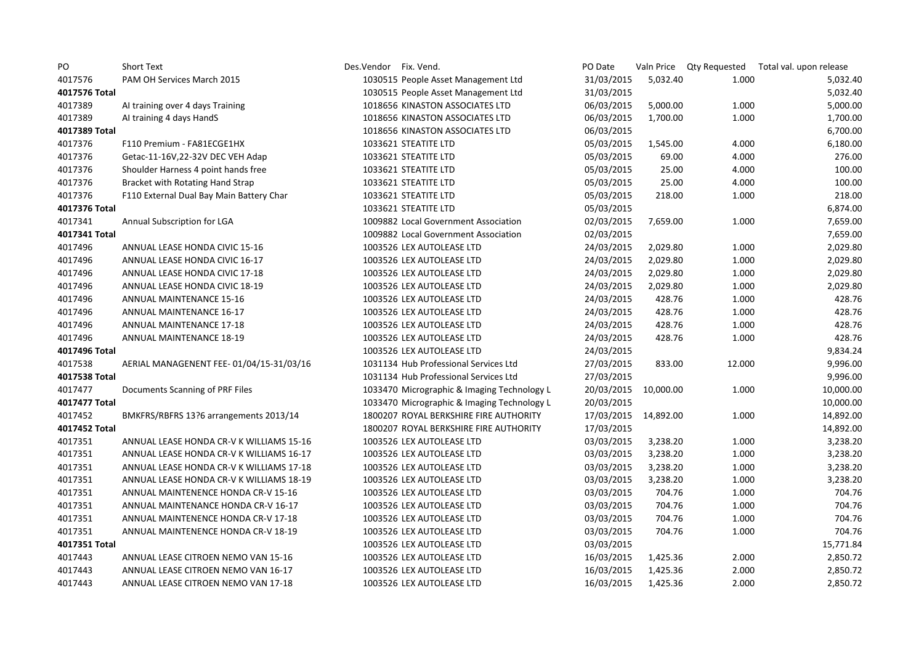| PO            | <b>Short Text</b>                        | Des.Vendor Fix. Vend. |                                             | PO Date              |           |        | Valn Price Qty Requested Total val. upon release |
|---------------|------------------------------------------|-----------------------|---------------------------------------------|----------------------|-----------|--------|--------------------------------------------------|
| 4017576       | PAM OH Services March 2015               |                       | 1030515 People Asset Management Ltd         | 31/03/2015           | 5,032.40  | 1.000  | 5,032.40                                         |
| 4017576 Total |                                          |                       | 1030515 People Asset Management Ltd         | 31/03/2015           |           |        | 5,032.40                                         |
| 4017389       | Al training over 4 days Training         |                       | 1018656 KINASTON ASSOCIATES LTD             | 06/03/2015           | 5,000.00  | 1.000  | 5,000.00                                         |
| 4017389       | Al training 4 days HandS                 |                       | 1018656 KINASTON ASSOCIATES LTD             | 06/03/2015           | 1,700.00  | 1.000  | 1,700.00                                         |
| 4017389 Total |                                          |                       | 1018656 KINASTON ASSOCIATES LTD             | 06/03/2015           |           |        | 6,700.00                                         |
| 4017376       | F110 Premium - FA81ECGE1HX               |                       | 1033621 STEATITE LTD                        | 05/03/2015           | 1,545.00  | 4.000  | 6,180.00                                         |
| 4017376       | Getac-11-16V,22-32V DEC VEH Adap         |                       | 1033621 STEATITE LTD                        | 05/03/2015           | 69.00     | 4.000  | 276.00                                           |
| 4017376       | Shoulder Harness 4 point hands free      |                       | 1033621 STEATITE LTD                        | 05/03/2015           | 25.00     | 4.000  | 100.00                                           |
| 4017376       | Bracket with Rotating Hand Strap         |                       | 1033621 STEATITE LTD                        | 05/03/2015           | 25.00     | 4.000  | 100.00                                           |
| 4017376       | F110 External Dual Bay Main Battery Char |                       | 1033621 STEATITE LTD                        | 05/03/2015           | 218.00    | 1.000  | 218.00                                           |
| 4017376 Total |                                          |                       | 1033621 STEATITE LTD                        | 05/03/2015           |           |        | 6,874.00                                         |
| 4017341       | Annual Subscription for LGA              |                       | 1009882 Local Government Association        | 02/03/2015           | 7,659.00  | 1.000  | 7,659.00                                         |
| 4017341 Total |                                          |                       | 1009882 Local Government Association        | 02/03/2015           |           |        | 7,659.00                                         |
| 4017496       | ANNUAL LEASE HONDA CIVIC 15-16           |                       | 1003526 LEX AUTOLEASE LTD                   | 24/03/2015           | 2,029.80  | 1.000  | 2,029.80                                         |
| 4017496       | ANNUAL LEASE HONDA CIVIC 16-17           |                       | 1003526 LEX AUTOLEASE LTD                   | 24/03/2015           | 2,029.80  | 1.000  | 2,029.80                                         |
| 4017496       | ANNUAL LEASE HONDA CIVIC 17-18           |                       | 1003526 LEX AUTOLEASE LTD                   | 24/03/2015           | 2,029.80  | 1.000  | 2,029.80                                         |
| 4017496       | ANNUAL LEASE HONDA CIVIC 18-19           |                       | 1003526 LEX AUTOLEASE LTD                   | 24/03/2015           | 2,029.80  | 1.000  | 2,029.80                                         |
| 4017496       | ANNUAL MAINTENANCE 15-16                 |                       | 1003526 LEX AUTOLEASE LTD                   | 24/03/2015           | 428.76    | 1.000  | 428.76                                           |
| 4017496       | ANNUAL MAINTENANCE 16-17                 |                       | 1003526 LEX AUTOLEASE LTD                   | 24/03/2015           | 428.76    | 1.000  | 428.76                                           |
| 4017496       | ANNUAL MAINTENANCE 17-18                 |                       | 1003526 LEX AUTOLEASE LTD                   | 24/03/2015           | 428.76    | 1.000  | 428.76                                           |
| 4017496       | ANNUAL MAINTENANCE 18-19                 |                       | 1003526 LEX AUTOLEASE LTD                   | 24/03/2015           | 428.76    | 1.000  | 428.76                                           |
| 4017496 Total |                                          |                       | 1003526 LEX AUTOLEASE LTD                   | 24/03/2015           |           |        | 9,834.24                                         |
| 4017538       | AERIAL MANAGENENT FEE-01/04/15-31/03/16  |                       | 1031134 Hub Professional Services Ltd       | 27/03/2015           | 833.00    | 12.000 | 9,996.00                                         |
| 4017538 Total |                                          |                       | 1031134 Hub Professional Services Ltd       | 27/03/2015           |           |        | 9,996.00                                         |
| 4017477       | Documents Scanning of PRF Files          |                       | 1033470 Micrographic & Imaging Technology L | 20/03/2015           | 10,000.00 | 1.000  | 10,000.00                                        |
| 4017477 Total |                                          |                       | 1033470 Micrographic & Imaging Technology L | 20/03/2015           |           |        | 10,000.00                                        |
| 4017452       | BMKFRS/RBFRS 13?6 arrangements 2013/14   |                       | 1800207 ROYAL BERKSHIRE FIRE AUTHORITY      | 17/03/2015 14,892.00 |           | 1.000  | 14,892.00                                        |
| 4017452 Total |                                          |                       | 1800207 ROYAL BERKSHIRE FIRE AUTHORITY      | 17/03/2015           |           |        | 14,892.00                                        |
| 4017351       | ANNUAL LEASE HONDA CR-V K WILLIAMS 15-16 |                       | 1003526 LEX AUTOLEASE LTD                   | 03/03/2015           | 3,238.20  | 1.000  | 3,238.20                                         |
| 4017351       | ANNUAL LEASE HONDA CR-V K WILLIAMS 16-17 |                       | 1003526 LEX AUTOLEASE LTD                   | 03/03/2015           | 3,238.20  | 1.000  | 3,238.20                                         |
| 4017351       | ANNUAL LEASE HONDA CR-V K WILLIAMS 17-18 |                       | 1003526 LEX AUTOLEASE LTD                   | 03/03/2015           | 3,238.20  | 1.000  | 3,238.20                                         |
| 4017351       | ANNUAL LEASE HONDA CR-V K WILLIAMS 18-19 |                       | 1003526 LEX AUTOLEASE LTD                   | 03/03/2015           | 3,238.20  | 1.000  | 3,238.20                                         |
| 4017351       | ANNUAL MAINTENENCE HONDA CR-V 15-16      |                       | 1003526 LEX AUTOLEASE LTD                   | 03/03/2015           | 704.76    | 1.000  | 704.76                                           |
| 4017351       | ANNUAL MAINTENANCE HONDA CR-V 16-17      |                       | 1003526 LEX AUTOLEASE LTD                   | 03/03/2015           | 704.76    | 1.000  | 704.76                                           |
| 4017351       | ANNUAL MAINTENENCE HONDA CR-V 17-18      |                       | 1003526 LEX AUTOLEASE LTD                   | 03/03/2015           | 704.76    | 1.000  | 704.76                                           |
| 4017351       | ANNUAL MAINTENENCE HONDA CR-V 18-19      |                       | 1003526 LEX AUTOLEASE LTD                   | 03/03/2015           | 704.76    | 1.000  | 704.76                                           |
| 4017351 Total |                                          |                       | 1003526 LEX AUTOLEASE LTD                   | 03/03/2015           |           |        | 15,771.84                                        |
| 4017443       | ANNUAL LEASE CITROEN NEMO VAN 15-16      |                       | 1003526 LEX AUTOLEASE LTD                   | 16/03/2015           | 1,425.36  | 2.000  | 2,850.72                                         |
| 4017443       | ANNUAL LEASE CITROEN NEMO VAN 16-17      |                       | 1003526 LEX AUTOLEASE LTD                   | 16/03/2015           | 1,425.36  | 2.000  | 2,850.72                                         |
| 4017443       | ANNUAL LEASE CITROEN NEMO VAN 17-18      |                       | 1003526 LEX AUTOLEASE LTD                   | 16/03/2015           | 1,425.36  | 2.000  | 2,850.72                                         |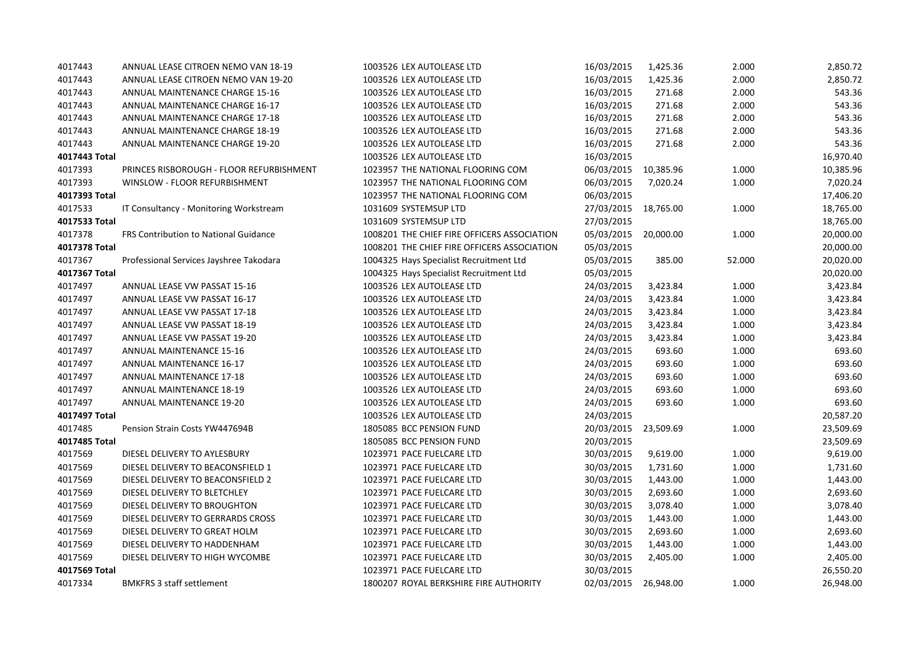| 4017443       | ANNUAL LEASE CITROEN NEMO VAN 18-19          | 1003526 LEX AUTOLEASE LTD                   | 16/03/2015           | 1,425.36  | 2.000  | 2,850.72  |
|---------------|----------------------------------------------|---------------------------------------------|----------------------|-----------|--------|-----------|
| 4017443       | ANNUAL LEASE CITROEN NEMO VAN 19-20          | 1003526 LEX AUTOLEASE LTD                   | 16/03/2015           | 1,425.36  | 2.000  | 2,850.72  |
| 4017443       | ANNUAL MAINTENANCE CHARGE 15-16              | 1003526 LEX AUTOLEASE LTD                   | 16/03/2015           | 271.68    | 2.000  | 543.36    |
| 4017443       | ANNUAL MAINTENANCE CHARGE 16-17              | 1003526 LEX AUTOLEASE LTD                   | 16/03/2015           | 271.68    | 2.000  | 543.36    |
| 4017443       | ANNUAL MAINTENANCE CHARGE 17-18              | 1003526 LEX AUTOLEASE LTD                   | 16/03/2015           | 271.68    | 2.000  | 543.36    |
| 4017443       | ANNUAL MAINTENANCE CHARGE 18-19              | 1003526 LEX AUTOLEASE LTD                   | 16/03/2015           | 271.68    | 2.000  | 543.36    |
| 4017443       | ANNUAL MAINTENANCE CHARGE 19-20              | 1003526 LEX AUTOLEASE LTD                   | 16/03/2015           | 271.68    | 2.000  | 543.36    |
| 4017443 Total |                                              | 1003526 LEX AUTOLEASE LTD                   | 16/03/2015           |           |        | 16,970.40 |
| 4017393       | PRINCES RISBOROUGH - FLOOR REFURBISHMENT     | 1023957 THE NATIONAL FLOORING COM           | 06/03/2015           | 10,385.96 | 1.000  | 10,385.96 |
| 4017393       | WINSLOW - FLOOR REFURBISHMENT                | 1023957 THE NATIONAL FLOORING COM           | 06/03/2015           | 7,020.24  | 1.000  | 7,020.24  |
| 4017393 Total |                                              | 1023957 THE NATIONAL FLOORING COM           | 06/03/2015           |           |        | 17,406.20 |
| 4017533       | IT Consultancy - Monitoring Workstream       | 1031609 SYSTEMSUP LTD                       | 27/03/2015 18,765.00 |           | 1.000  | 18,765.00 |
| 4017533 Total |                                              | 1031609 SYSTEMSUP LTD                       | 27/03/2015           |           |        | 18,765.00 |
| 4017378       | <b>FRS Contribution to National Guidance</b> | 1008201 THE CHIEF FIRE OFFICERS ASSOCIATION | 05/03/2015           | 20,000.00 | 1.000  | 20,000.00 |
| 4017378 Total |                                              | 1008201 THE CHIEF FIRE OFFICERS ASSOCIATION | 05/03/2015           |           |        | 20,000.00 |
| 4017367       | Professional Services Jayshree Takodara      | 1004325 Hays Specialist Recruitment Ltd     | 05/03/2015           | 385.00    | 52.000 | 20,020.00 |
| 4017367 Total |                                              | 1004325 Hays Specialist Recruitment Ltd     | 05/03/2015           |           |        | 20,020.00 |
| 4017497       | ANNUAL LEASE VW PASSAT 15-16                 | 1003526 LEX AUTOLEASE LTD                   | 24/03/2015           | 3,423.84  | 1.000  | 3,423.84  |
| 4017497       | ANNUAL LEASE VW PASSAT 16-17                 | 1003526 LEX AUTOLEASE LTD                   | 24/03/2015           | 3,423.84  | 1.000  | 3,423.84  |
| 4017497       | ANNUAL LEASE VW PASSAT 17-18                 | 1003526 LEX AUTOLEASE LTD                   | 24/03/2015           | 3,423.84  | 1.000  | 3,423.84  |
| 4017497       | ANNUAL LEASE VW PASSAT 18-19                 | 1003526 LEX AUTOLEASE LTD                   | 24/03/2015           | 3,423.84  | 1.000  | 3,423.84  |
| 4017497       | ANNUAL LEASE VW PASSAT 19-20                 | 1003526 LEX AUTOLEASE LTD                   | 24/03/2015           | 3,423.84  | 1.000  | 3,423.84  |
| 4017497       | <b>ANNUAL MAINTENANCE 15-16</b>              | 1003526 LEX AUTOLEASE LTD                   | 24/03/2015           | 693.60    | 1.000  | 693.60    |
| 4017497       | ANNUAL MAINTENANCE 16-17                     | 1003526 LEX AUTOLEASE LTD                   | 24/03/2015           | 693.60    | 1.000  | 693.60    |
| 4017497       | <b>ANNUAL MAINTENANCE 17-18</b>              | 1003526 LEX AUTOLEASE LTD                   | 24/03/2015           | 693.60    | 1.000  | 693.60    |
| 4017497       | <b>ANNUAL MAINTENANCE 18-19</b>              | 1003526 LEX AUTOLEASE LTD                   | 24/03/2015           | 693.60    | 1.000  | 693.60    |
| 4017497       | ANNUAL MAINTENANCE 19-20                     | 1003526 LEX AUTOLEASE LTD                   | 24/03/2015           | 693.60    | 1.000  | 693.60    |
| 4017497 Total |                                              | 1003526 LEX AUTOLEASE LTD                   | 24/03/2015           |           |        | 20,587.20 |
| 4017485       | Pension Strain Costs YW447694B               | 1805085 BCC PENSION FUND                    | 20/03/2015           | 23,509.69 | 1.000  | 23,509.69 |
| 4017485 Total |                                              | 1805085 BCC PENSION FUND                    | 20/03/2015           |           |        | 23,509.69 |
| 4017569       | DIESEL DELIVERY TO AYLESBURY                 | 1023971 PACE FUELCARE LTD                   | 30/03/2015           | 9,619.00  | 1.000  | 9,619.00  |
| 4017569       | DIESEL DELIVERY TO BEACONSFIELD 1            | 1023971 PACE FUELCARE LTD                   | 30/03/2015           | 1,731.60  | 1.000  | 1,731.60  |
| 4017569       | DIESEL DELIVERY TO BEACONSFIELD 2            | 1023971 PACE FUELCARE LTD                   | 30/03/2015           | 1,443.00  | 1.000  | 1,443.00  |
| 4017569       | DIESEL DELIVERY TO BLETCHLEY                 | 1023971 PACE FUELCARE LTD                   | 30/03/2015           | 2,693.60  | 1.000  | 2,693.60  |
| 4017569       | DIESEL DELIVERY TO BROUGHTON                 | 1023971 PACE FUELCARE LTD                   | 30/03/2015           | 3,078.40  | 1.000  | 3,078.40  |
| 4017569       | DIESEL DELIVERY TO GERRARDS CROSS            | 1023971 PACE FUELCARE LTD                   | 30/03/2015           | 1,443.00  | 1.000  | 1,443.00  |
| 4017569       | DIESEL DELIVERY TO GREAT HOLM                | 1023971 PACE FUELCARE LTD                   | 30/03/2015           | 2,693.60  | 1.000  | 2,693.60  |
| 4017569       | DIESEL DELIVERY TO HADDENHAM                 | 1023971 PACE FUELCARE LTD                   | 30/03/2015           | 1,443.00  | 1.000  | 1,443.00  |
| 4017569       | DIESEL DELIVERY TO HIGH WYCOMBE              | 1023971 PACE FUELCARE LTD                   | 30/03/2015           | 2,405.00  | 1.000  | 2,405.00  |
| 4017569 Total |                                              | 1023971 PACE FUELCARE LTD                   | 30/03/2015           |           |        | 26,550.20 |
| 4017334       | <b>BMKFRS 3 staff settlement</b>             | 1800207 ROYAL BERKSHIRE FIRE AUTHORITY      | 02/03/2015 26,948.00 |           | 1.000  | 26,948.00 |